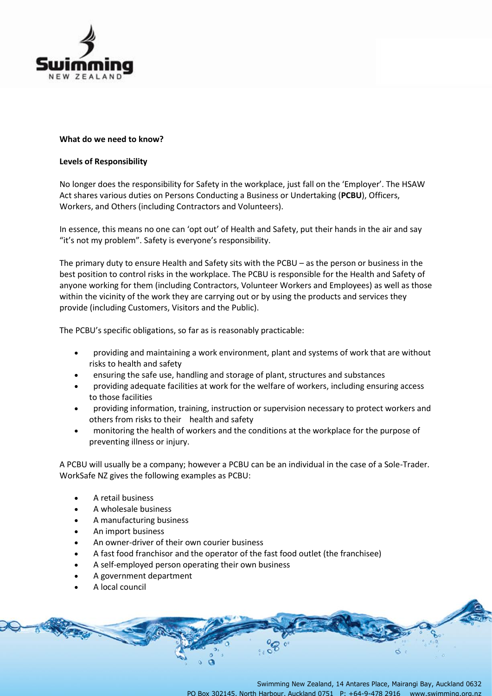

# **What do we need to know?**

# **Levels of Responsibility**

No longer does the responsibility for Safety in the workplace, just fall on the 'Employer'. The HSAW Act shares various duties on Persons Conducting a Business or Undertaking (**PCBU**), Officers, Workers, and Others (including Contractors and Volunteers).

In essence, this means no one can 'opt out' of Health and Safety, put their hands in the air and say "it's not my problem". Safety is everyone's responsibility.

The primary duty to ensure Health and Safety sits with the PCBU – as the person or business in the best position to control risks in the workplace. The PCBU is responsible for the Health and Safety of anyone working for them (including Contractors, Volunteer Workers and Employees) as well as those within the vicinity of the work they are carrying out or by using the products and services they provide (including Customers, Visitors and the Public).

The PCBU's specific obligations, so far as is reasonably practicable:

- providing and maintaining a work environment, plant and systems of work that are without risks to health and safety
- ensuring the safe use, handling and storage of plant, structures and substances
- providing adequate facilities at work for the welfare of workers, including ensuring access to those facilities
- providing information, training, instruction or supervision necessary to protect workers and others from risks to their health and safety
- monitoring the health of workers and the conditions at the workplace for the purpose of preventing illness or injury.

A PCBU will usually be a company; however a PCBU can be an individual in the case of a Sole-Trader. WorkSafe NZ gives the following examples as PCBU:

- A retail business
- A wholesale business
- A manufacturing business
- An import business
- An owner-driver of their own courier business
- A fast food franchisor and the operator of the fast food outlet (the franchisee)
- A self-employed person operating their own business
- A government department
- A local council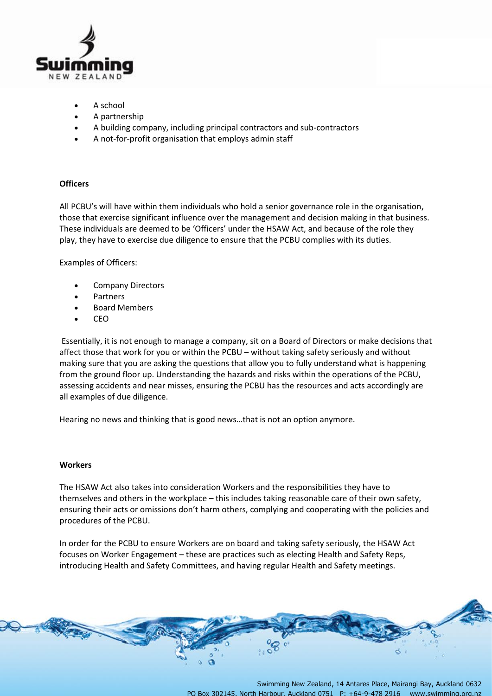

- A school
- A partnership
- A building company, including principal contractors and sub-contractors
- A not-for-profit organisation that employs admin staff

# **Officers**

All PCBU's will have within them individuals who hold a senior governance role in the organisation, those that exercise significant influence over the management and decision making in that business. These individuals are deemed to be 'Officers' under the HSAW Act, and because of the role they play, they have to exercise due diligence to ensure that the PCBU complies with its duties.

Examples of Officers:

- Company Directors
- **Partners**
- Board Members
- CEO

Essentially, it is not enough to manage a company, sit on a Board of Directors or make decisions that affect those that work for you or within the PCBU – without taking safety seriously and without making sure that you are asking the questions that allow you to fully understand what is happening from the ground floor up. Understanding the hazards and risks within the operations of the PCBU, assessing accidents and near misses, ensuring the PCBU has the resources and acts accordingly are all examples of due diligence.

Hearing no news and thinking that is good news…that is not an option anymore.

#### **Workers**

The HSAW Act also takes into consideration Workers and the responsibilities they have to themselves and others in the workplace – this includes taking reasonable care of their own safety, ensuring their acts or omissions don't harm others, complying and cooperating with the policies and procedures of the PCBU.

In order for the PCBU to ensure Workers are on board and taking safety seriously, the HSAW Act focuses on Worker Engagement – these are practices such as electing Health and Safety Reps, introducing Health and Safety Committees, and having regular Health and Safety meetings.